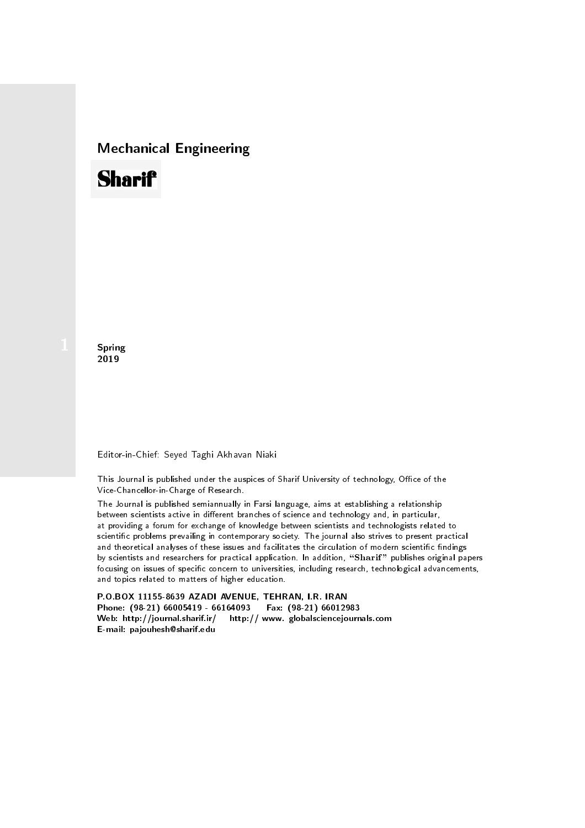## Mechanical Engineering

# **Sharif**

**Spring** 2019

#### Editor-in-Chief: Seyed Taghi Akhavan Niaki

This Journal is published under the auspices of Sharif University of technology, Office of the Vice-Chancellor-in-Charge of Research.

The Journal is published semiannually in Farsi language, aims at establishing a relationship between scientists active in different branches of science and technology and, in particular, at providing a forum for exchange of knowledge between scientists and technologists related to scientic problems prevailing in contemporary society. The journal also strives to present practical and theoretical analyses of these issues and facilitates the circulation of modern scientific findings by scientists and researchers for practical application. In addition, "Sharif" publishes original papers focusing on issues of specific concern to universities, including research, technological advancements, and topics related to matters of higher education.

P.O.BOX 11155-8639 AZADI AVENUE, TEHRAN, I.R. IRAN Phone: (98-21) 66005419 - 66164093 Fax: (98-21) 66012983 Web: http://journal.sharif.ir/ http:// www. globalsciencejournals.com E-mail: pajouhesh@sharif.edu